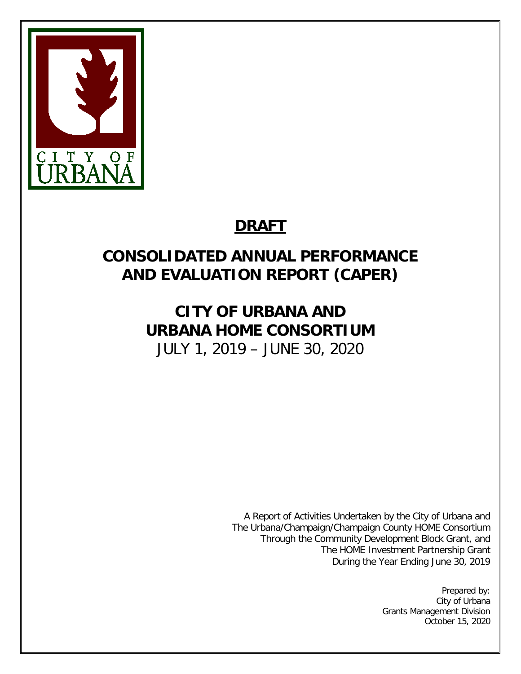

# **DRAFT**

# **CONSOLIDATED ANNUAL PERFORMANCE AND EVALUATION REPORT (CAPER)**

# **CITY OF URBANA AND URBANA HOME CONSORTIUM** JULY 1, 2019 – JUNE 30, 2020

A Report of Activities Undertaken by the City of Urbana and The Urbana/Champaign/Champaign County HOME Consortium Through the Community Development Block Grant, and The HOME Investment Partnership Grant During the Year Ending June 30, 2019

> Prepared by: City of Urbana Grants Management Division October 15, 2020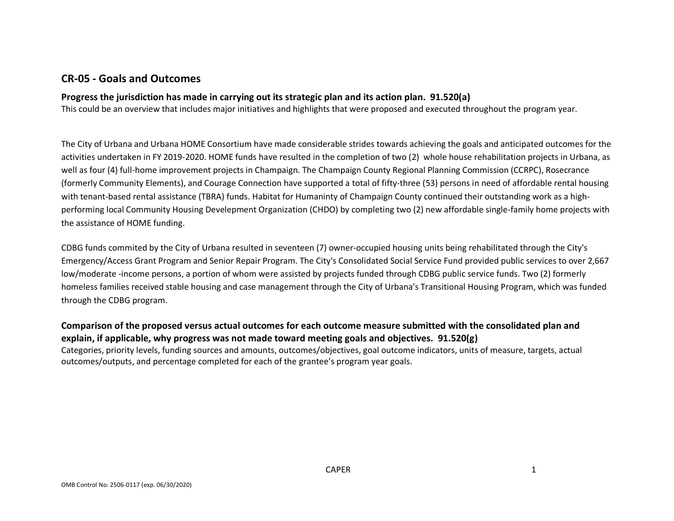## **CR-05 - Goals and Outcomes**

#### **Progress the jurisdiction has made in carrying out its strategic plan and its action plan. 91.520(a)**

This could be an overview that includes major initiatives and highlights that were proposed and executed throughout the program year.

The City of Urbana and Urbana HOME Consortium have made considerable strides towards achieving the goals and anticipated outcomes for the activities undertaken in FY 2019-2020. HOME funds have resulted in the completion of two (2) whole house rehabilitation projects in Urbana, as well as four (4) full-home improvement projects in Champaign. The Champaign County Regional Planning Commission (CCRPC), Rosecrance (formerly Community Elements), and Courage Connection have supported a total of fifty-three (53) persons in need of affordable rental housing with tenant-based rental assistance (TBRA) funds. Habitat for Humaninty of Champaign County continued their outstanding work as a highperforming local Community Housing Develepment Organization (CHDO) by completing two (2) new affordable single-family home projects with the assistance of HOME funding.

CDBG funds commited by the City of Urbana resulted in seventeen (7) owner-occupied housing units being rehabilitated through the City's Emergency/Access Grant Program and Senior Repair Program. The City's Consolidated Social Service Fund provided public services to over 2,667 low/moderate -income persons, a portion of whom were assisted by projects funded through CDBG public service funds. Two (2) formerly homeless families received stable housing and case management through the City of Urbana's Transitional Housing Program, which was funded through the CDBG program.

## **Comparison of the proposed versus actual outcomes for each outcome measure submitted with the consolidated plan and explain, if applicable, why progress was not made toward meeting goals and objectives. 91.520(g)**

Categories, priority levels, funding sources and amounts, outcomes/objectives, goal outcome indicators, units of measure, targets, actual outcomes/outputs, and percentage completed for each of the grantee's program year goals.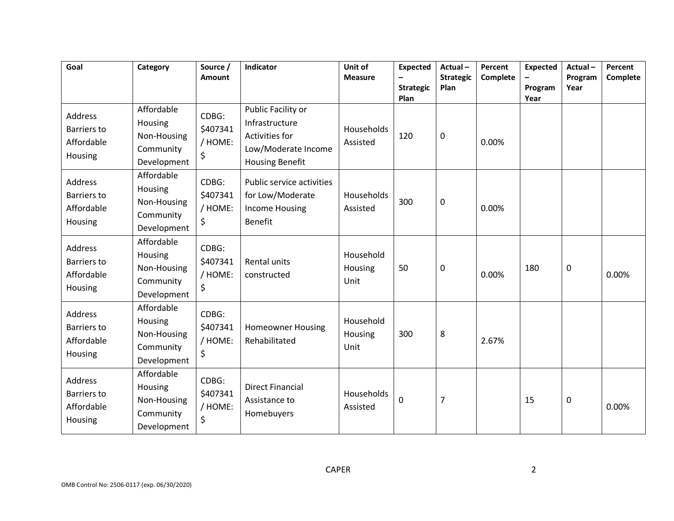| Goal                                                          | Category                                                         | Source /<br>Amount                 | Indicator                                                                                               | Unit of<br><b>Measure</b>    | <b>Expected</b><br><b>Strategic</b><br>Plan | Actual-<br><b>Strategic</b><br>Plan | Percent<br>Complete | <b>Expected</b><br>Program<br>Year | Actual-<br>Program<br>Year | Percent<br>Complete |
|---------------------------------------------------------------|------------------------------------------------------------------|------------------------------------|---------------------------------------------------------------------------------------------------------|------------------------------|---------------------------------------------|-------------------------------------|---------------------|------------------------------------|----------------------------|---------------------|
| <b>Address</b><br><b>Barriers to</b><br>Affordable<br>Housing | Affordable<br>Housing<br>Non-Housing<br>Community<br>Development | CDBG:<br>\$407341<br>/ HOME:<br>\$ | Public Facility or<br>Infrastructure<br>Activities for<br>Low/Moderate Income<br><b>Housing Benefit</b> | Households<br>Assisted       | 120                                         | 0                                   | 0.00%               |                                    |                            |                     |
| <b>Address</b><br><b>Barriers to</b><br>Affordable<br>Housing | Affordable<br>Housing<br>Non-Housing<br>Community<br>Development | CDBG:<br>\$407341<br>/ HOME:<br>\$ | Public service activities<br>for Low/Moderate<br><b>Income Housing</b><br><b>Benefit</b>                | Households<br>Assisted       | 300                                         | 0                                   | 0.00%               |                                    |                            |                     |
| Address<br><b>Barriers to</b><br>Affordable<br>Housing        | Affordable<br>Housing<br>Non-Housing<br>Community<br>Development | CDBG:<br>\$407341<br>/ HOME:<br>\$ | <b>Rental units</b><br>constructed                                                                      | Household<br>Housing<br>Unit | 50                                          | 0                                   | 0.00%               | 180                                | 0                          | 0.00%               |
| <b>Address</b><br><b>Barriers to</b><br>Affordable<br>Housing | Affordable<br>Housing<br>Non-Housing<br>Community<br>Development | CDBG:<br>\$407341<br>/ HOME:<br>\$ | <b>Homeowner Housing</b><br>Rehabilitated                                                               | Household<br>Housing<br>Unit | 300                                         | 8                                   | 2.67%               |                                    |                            |                     |
| <b>Address</b><br><b>Barriers to</b><br>Affordable<br>Housing | Affordable<br>Housing<br>Non-Housing<br>Community<br>Development | CDBG:<br>\$407341<br>/ HOME:<br>\$ | <b>Direct Financial</b><br>Assistance to<br>Homebuyers                                                  | Households<br>Assisted       | $\mathbf 0$                                 | $\overline{7}$                      |                     | 15                                 | 0                          | 0.00%               |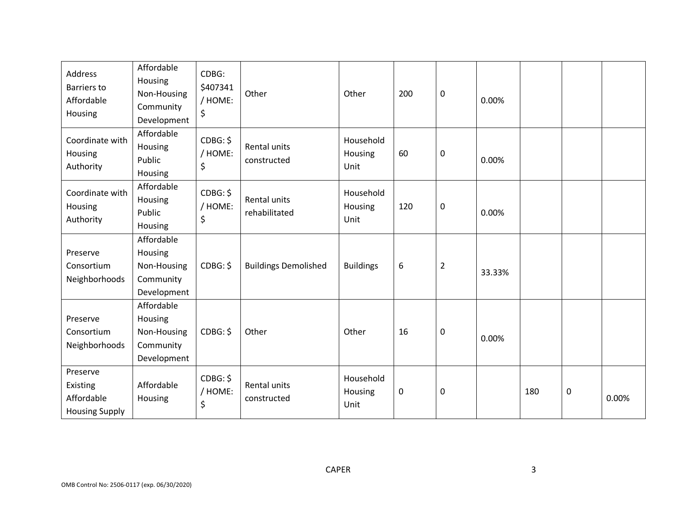| Address<br><b>Barriers to</b><br>Affordable<br>Housing      | Affordable<br>Housing<br>Non-Housing<br>Community<br>Development | CDBG:<br>\$407341<br>/ HOME:<br>\$ | Other                         | Other                        | 200 | $\mathbf 0$    | 0.00%  |     |   |       |
|-------------------------------------------------------------|------------------------------------------------------------------|------------------------------------|-------------------------------|------------------------------|-----|----------------|--------|-----|---|-------|
| Coordinate with<br>Housing<br>Authority                     | Affordable<br>Housing<br>Public<br>Housing                       | CDBG: \$<br>/ HOME:<br>\$          | Rental units<br>constructed   | Household<br>Housing<br>Unit | 60  | $\mathbf 0$    | 0.00%  |     |   |       |
| Coordinate with<br>Housing<br>Authority                     | Affordable<br>Housing<br>Public<br>Housing                       | CDBG: \$<br>/ HOME:<br>\$          | Rental units<br>rehabilitated | Household<br>Housing<br>Unit | 120 | $\mathbf 0$    | 0.00%  |     |   |       |
| Preserve<br>Consortium<br>Neighborhoods                     | Affordable<br>Housing<br>Non-Housing<br>Community<br>Development | CDBG: \$                           | <b>Buildings Demolished</b>   | <b>Buildings</b>             | 6   | $\overline{2}$ | 33.33% |     |   |       |
| Preserve<br>Consortium<br>Neighborhoods                     | Affordable<br>Housing<br>Non-Housing<br>Community<br>Development | CDBG: \$                           | Other                         | Other                        | 16  | $\mathbf 0$    | 0.00%  |     |   |       |
| Preserve<br>Existing<br>Affordable<br><b>Housing Supply</b> | Affordable<br>Housing                                            | CDBG: \$<br>/ HOME:<br>\$          | Rental units<br>constructed   | Household<br>Housing<br>Unit | 0   | $\pmb{0}$      |        | 180 | 0 | 0.00% |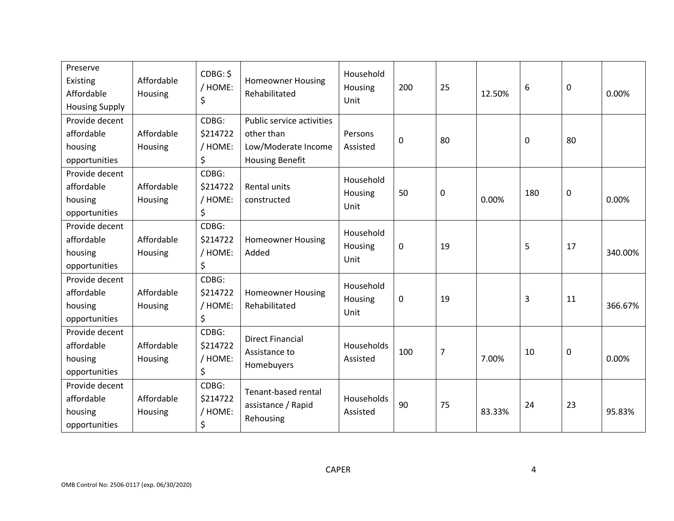| Preserve<br>Existing<br>Affordable<br><b>Housing Supply</b> | Affordable<br>Housing | CDBG: \$<br>/ HOME:<br>\$          | <b>Homeowner Housing</b><br>Rehabilitated                                                | Household<br>Housing<br>Unit | 200         | 25             | 12.50% | 6   | $\mathbf 0$ | 0.00%   |
|-------------------------------------------------------------|-----------------------|------------------------------------|------------------------------------------------------------------------------------------|------------------------------|-------------|----------------|--------|-----|-------------|---------|
| Provide decent<br>affordable<br>housing<br>opportunities    | Affordable<br>Housing | CDBG:<br>\$214722<br>/ HOME:<br>\$ | Public service activities<br>other than<br>Low/Moderate Income<br><b>Housing Benefit</b> | Persons<br>Assisted          | $\mathbf 0$ | 80             |        | 0   | 80          |         |
| Provide decent<br>affordable<br>housing<br>opportunities    | Affordable<br>Housing | CDBG:<br>\$214722<br>/ HOME:<br>\$ | <b>Rental units</b><br>constructed                                                       | Household<br>Housing<br>Unit | 50          | $\mathbf 0$    | 0.00%  | 180 | $\mathbf 0$ | 0.00%   |
| Provide decent<br>affordable<br>housing<br>opportunities    | Affordable<br>Housing | CDBG:<br>\$214722<br>/ HOME:<br>\$ | <b>Homeowner Housing</b><br>Added                                                        | Household<br>Housing<br>Unit | $\mathbf 0$ | 19             |        | 5   | 17          | 340.00% |
| Provide decent<br>affordable<br>housing<br>opportunities    | Affordable<br>Housing | CDBG:<br>\$214722<br>/ HOME:<br>\$ | <b>Homeowner Housing</b><br>Rehabilitated                                                | Household<br>Housing<br>Unit | $\mathbf 0$ | 19             |        | 3   | 11          | 366.67% |
| Provide decent<br>affordable<br>housing<br>opportunities    | Affordable<br>Housing | CDBG:<br>\$214722<br>/ HOME:<br>\$ | <b>Direct Financial</b><br>Assistance to<br>Homebuyers                                   | Households<br>Assisted       | 100         | $\overline{7}$ | 7.00%  | 10  | $\mathbf 0$ | 0.00%   |
| Provide decent<br>affordable<br>housing<br>opportunities    | Affordable<br>Housing | CDBG:<br>\$214722<br>/ HOME:<br>\$ | Tenant-based rental<br>assistance / Rapid<br>Rehousing                                   | Households<br>Assisted       | 90          | 75             | 83.33% | 24  | 23          | 95.83%  |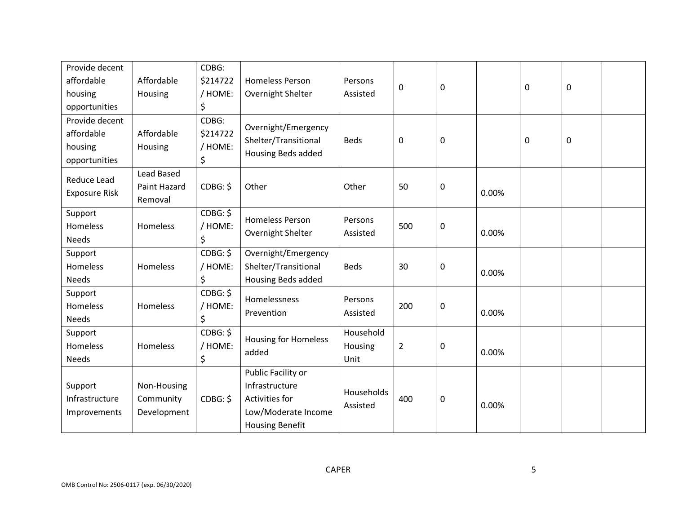| Provide decent                                           |                                         | CDBG:                              |                                                                                                         |                              |                |             |       |   |   |  |
|----------------------------------------------------------|-----------------------------------------|------------------------------------|---------------------------------------------------------------------------------------------------------|------------------------------|----------------|-------------|-------|---|---|--|
| affordable                                               | Affordable                              | \$214722                           | <b>Homeless Person</b>                                                                                  | Persons                      | $\mathbf 0$    | $\pmb{0}$   |       | 0 | 0 |  |
| housing                                                  | Housing                                 | / HOME:                            | Overnight Shelter                                                                                       | Assisted                     |                |             |       |   |   |  |
| opportunities                                            |                                         | \$                                 |                                                                                                         |                              |                |             |       |   |   |  |
| Provide decent<br>affordable<br>housing<br>opportunities | Affordable<br>Housing                   | CDBG:<br>\$214722<br>/ HOME:<br>\$ | Overnight/Emergency<br>Shelter/Transitional<br>Housing Beds added                                       | <b>Beds</b>                  | $\mathbf 0$    | $\mathbf 0$ |       | 0 | 0 |  |
| Reduce Lead<br><b>Exposure Risk</b>                      | Lead Based<br>Paint Hazard<br>Removal   | CDBG: \$                           | Other                                                                                                   | Other                        | 50             | $\mathsf 0$ | 0.00% |   |   |  |
| Support<br><b>Homeless</b><br><b>Needs</b>               | Homeless                                | CDBG: \$<br>/ HOME:<br>\$          | <b>Homeless Person</b><br>Overnight Shelter                                                             | Persons<br>Assisted          | 500            | $\mathbf 0$ | 0.00% |   |   |  |
| Support<br><b>Homeless</b><br><b>Needs</b>               | Homeless                                | CDBG: \$<br>/ HOME:<br>\$          | Overnight/Emergency<br>Shelter/Transitional<br>Housing Beds added                                       | <b>Beds</b>                  | 30             | $\mathsf 0$ | 0.00% |   |   |  |
| Support<br>Homeless<br><b>Needs</b>                      | Homeless                                | CDBG: \$<br>/ HOME:<br>\$          | Homelessness<br>Prevention                                                                              | Persons<br>Assisted          | 200            | $\pmb{0}$   | 0.00% |   |   |  |
| Support<br><b>Homeless</b><br><b>Needs</b>               | Homeless                                | CDBG: \$<br>/ HOME:<br>\$          | <b>Housing for Homeless</b><br>added                                                                    | Household<br>Housing<br>Unit | $\overline{2}$ | $\mathbf 0$ | 0.00% |   |   |  |
| Support<br>Infrastructure<br>Improvements                | Non-Housing<br>Community<br>Development | CDBG: \$                           | Public Facility or<br>Infrastructure<br>Activities for<br>Low/Moderate Income<br><b>Housing Benefit</b> | Households<br>Assisted       | 400            | 0           | 0.00% |   |   |  |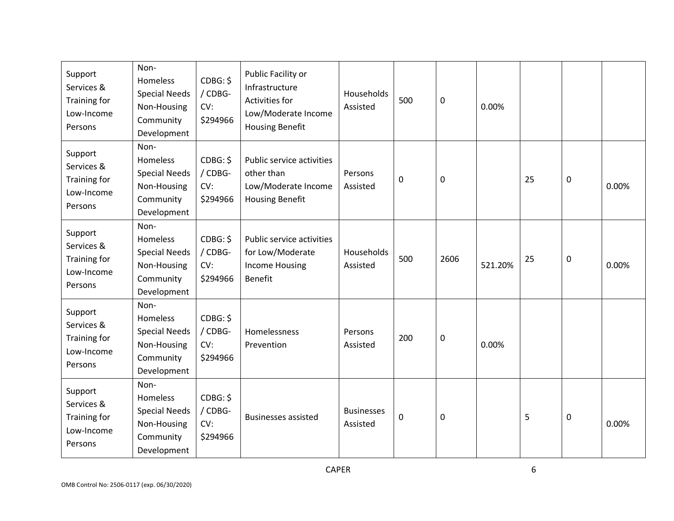| Support<br>Services &<br>Training for<br>Low-Income<br>Persons | Non-<br>Homeless<br><b>Special Needs</b><br>Non-Housing<br>Community<br>Development | CDBG: \$<br>/ CDBG-<br>CV:<br>\$294966 | Public Facility or<br>Infrastructure<br><b>Activities for</b><br>Low/Moderate Income<br><b>Housing Benefit</b> | Households<br>Assisted        | 500 | 0    | 0.00%   |    |             |       |
|----------------------------------------------------------------|-------------------------------------------------------------------------------------|----------------------------------------|----------------------------------------------------------------------------------------------------------------|-------------------------------|-----|------|---------|----|-------------|-------|
| Support<br>Services &<br>Training for<br>Low-Income<br>Persons | Non-<br>Homeless<br><b>Special Needs</b><br>Non-Housing<br>Community<br>Development | CDBG: \$<br>/ CDBG-<br>CV:<br>\$294966 | Public service activities<br>other than<br>Low/Moderate Income<br><b>Housing Benefit</b>                       | Persons<br>Assisted           | 0   | 0    |         | 25 | $\mathbf 0$ | 0.00% |
| Support<br>Services &<br>Training for<br>Low-Income<br>Persons | Non-<br>Homeless<br><b>Special Needs</b><br>Non-Housing<br>Community<br>Development | CDBG: \$<br>/ CDBG-<br>CV:<br>\$294966 | Public service activities<br>for Low/Moderate<br><b>Income Housing</b><br><b>Benefit</b>                       | Households<br>Assisted        | 500 | 2606 | 521.20% | 25 | 0           | 0.00% |
| Support<br>Services &<br>Training for<br>Low-Income<br>Persons | Non-<br>Homeless<br><b>Special Needs</b><br>Non-Housing<br>Community<br>Development | CDBG: \$<br>/ CDBG-<br>CV:<br>\$294966 | Homelessness<br>Prevention                                                                                     | Persons<br>Assisted           | 200 | 0    | 0.00%   |    |             |       |
| Support<br>Services &<br>Training for<br>Low-Income<br>Persons | Non-<br>Homeless<br><b>Special Needs</b><br>Non-Housing<br>Community<br>Development | CDBG: \$<br>/ CDBG-<br>CV:<br>\$294966 | <b>Businesses assisted</b>                                                                                     | <b>Businesses</b><br>Assisted | 0   | 0    |         | 5  | $\mathbf 0$ | 0.00% |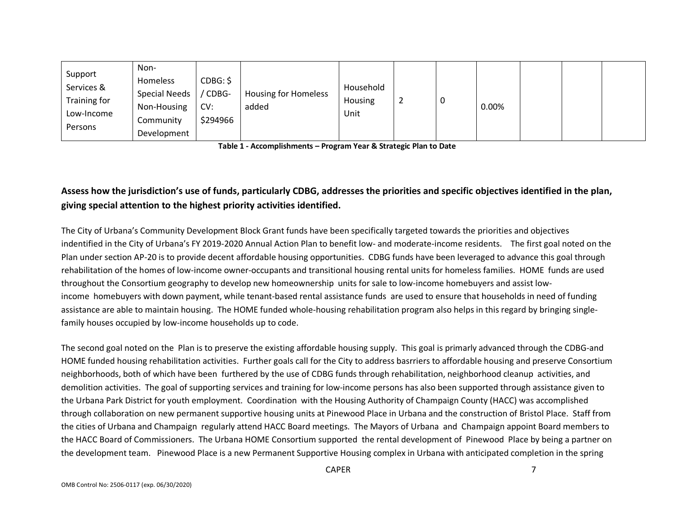| Support<br>Services &<br>Training for<br>Low-Income<br>Persons | Non-<br>Homeless<br><b>Special Needs</b><br>Non-Housing<br>Community<br>Development | CDBG: \$<br>CDBG-<br>CV:<br>\$294966 | <b>Housing for Homeless</b><br>added | Household<br>Housing<br>Unit | ∼ |  | 0.00% |  |  |  |
|----------------------------------------------------------------|-------------------------------------------------------------------------------------|--------------------------------------|--------------------------------------|------------------------------|---|--|-------|--|--|--|
|----------------------------------------------------------------|-------------------------------------------------------------------------------------|--------------------------------------|--------------------------------------|------------------------------|---|--|-------|--|--|--|

**Table 1 - Accomplishments – Program Year & Strategic Plan to Date**

# **Assess how the jurisdiction's use of funds, particularly CDBG, addresses the priorities and specific objectives identified in the plan, giving special attention to the highest priority activities identified.**

The City of Urbana's Community Development Block Grant funds have been specifically targeted towards the priorities and objectives indentified in the City of Urbana's FY 2019-2020 Annual Action Plan to benefit low- and moderate-income residents. The first goal noted on the Plan under section AP-20 is to provide decent affordable housing opportunities. CDBG funds have been leveraged to advance this goal through rehabilitation of the homes of low-income owner-occupants and transitional housing rental units for homeless families. HOME funds are used throughout the Consortium geography to develop new homeownership units for sale to low-income homebuyers and assist lowincome homebuyers with down payment, while tenant-based rental assistance funds are used to ensure that households in need of funding assistance are able to maintain housing. The HOME funded whole-housing rehabilitation program also helps in this regard by bringing singlefamily houses occupied by low-income households up to code.

The second goal noted on the Plan is to preserve the existing affordable housing supply. This goal is primarly advanced through the CDBG-and HOME funded housing rehabilitation activities. Further goals call for the City to address basrriers to affordable housing and preserve Consortium neighborhoods, both of which have been furthered by the use of CDBG funds through rehabilitation, neighborhood cleanup activities, and demolition activities. The goal of supporting services and training for low-income persons has also been supported through assistance given to the Urbana Park District for youth employment. Coordination with the Housing Authority of Champaign County (HACC) was accomplished through collaboration on new permanent supportive housing units at Pinewood Place in Urbana and the construction of Bristol Place. Staff from the cities of Urbana and Champaign regularly attend HACC Board meetings. The Mayors of Urbana and Champaign appoint Board members to the HACC Board of Commissioners. The Urbana HOME Consortium supported the rental development of Pinewood Place by being a partner on the development team. Pinewood Place is a new Permanent Supportive Housing complex in Urbana with anticipated completion in the spring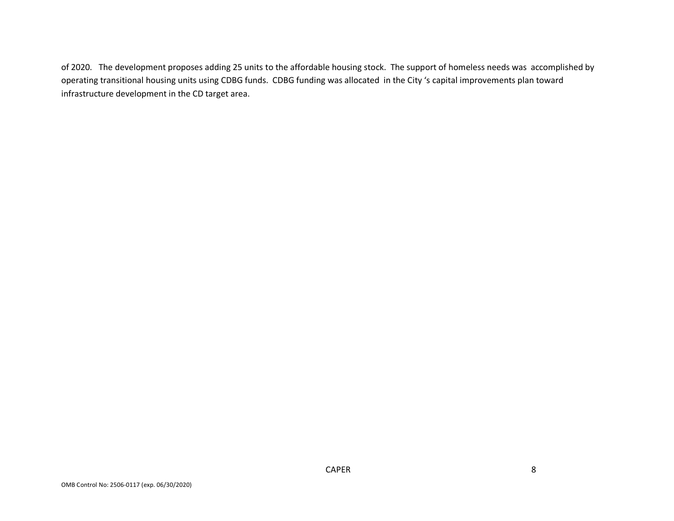of 2020. The development proposes adding 25 units to the affordable housing stock. The support of homeless needs was accomplished by operating transitional housing units using CDBG funds. CDBG funding was allocated in the City 's capital improvements plan toward infrastructure development in the CD target area.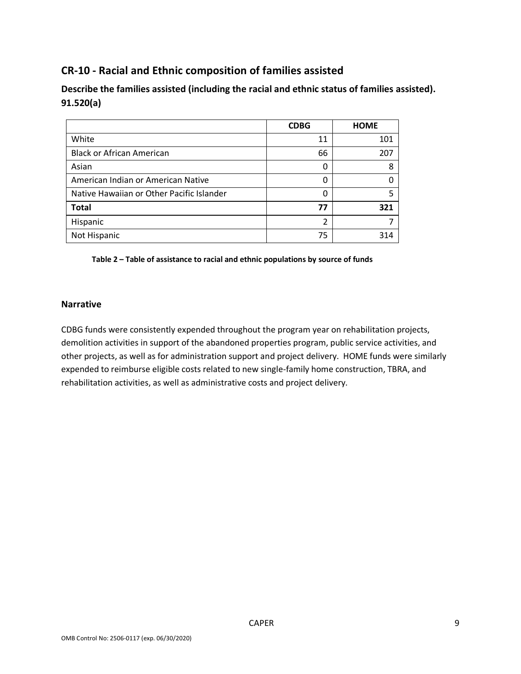# **CR-10 - Racial and Ethnic composition of families assisted**

**Describe the families assisted (including the racial and ethnic status of families assisted). 91.520(a)** 

|                                           | <b>CDBG</b> | <b>HOME</b> |
|-------------------------------------------|-------------|-------------|
| White                                     | 11          | 101         |
| <b>Black or African American</b>          | 66          | 207         |
| Asian                                     | 0           | 8           |
| American Indian or American Native        | 0           |             |
| Native Hawaiian or Other Pacific Islander | ი           |             |
| <b>Total</b>                              | 77          | 321         |
| Hispanic                                  | 2           |             |
| Not Hispanic                              | 75          | 314         |

**Table 2 – Table of assistance to racial and ethnic populations by source of funds**

#### **Narrative**

CDBG funds were consistently expended throughout the program year on rehabilitation projects, demolition activities in support of the abandoned properties program, public service activities, and other projects, as well as for administration support and project delivery. HOME funds were similarly expended to reimburse eligible costs related to new single-family home construction, TBRA, and rehabilitation activities, as well as administrative costs and project delivery.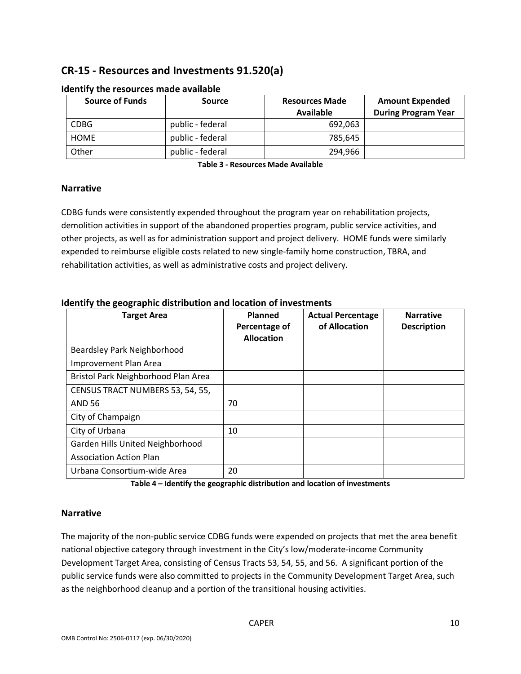# **CR-15 - Resources and Investments 91.520(a)**

| <b>Source of Funds</b> | <b>Source</b>    | <b>Resources Made</b><br>Available | <b>Amount Expended</b><br><b>During Program Year</b> |
|------------------------|------------------|------------------------------------|------------------------------------------------------|
| <b>CDBG</b>            | public - federal | 692.063                            |                                                      |
| <b>HOME</b>            | public - federal | 785.645                            |                                                      |
| Other                  | public - federal | 294.966                            |                                                      |

#### **Identify the resources made available**

**Table 3 - Resources Made Available**

#### **Narrative**

CDBG funds were consistently expended throughout the program year on rehabilitation projects, demolition activities in support of the abandoned properties program, public service activities, and other projects, as well as for administration support and project delivery. HOME funds were similarly expended to reimburse eligible costs related to new single-family home construction, TBRA, and rehabilitation activities, as well as administrative costs and project delivery.

| <b>Target Area</b>                  | Planned<br>Percentage of<br><b>Allocation</b> | <b>Actual Percentage</b><br>of Allocation | <b>Narrative</b><br><b>Description</b> |
|-------------------------------------|-----------------------------------------------|-------------------------------------------|----------------------------------------|
| Beardsley Park Neighborhood         |                                               |                                           |                                        |
| Improvement Plan Area               |                                               |                                           |                                        |
| Bristol Park Neighborhood Plan Area |                                               |                                           |                                        |
| CENSUS TRACT NUMBERS 53, 54, 55,    |                                               |                                           |                                        |
| <b>AND 56</b>                       | 70                                            |                                           |                                        |
| City of Champaign                   |                                               |                                           |                                        |
| City of Urbana                      | 10                                            |                                           |                                        |
| Garden Hills United Neighborhood    |                                               |                                           |                                        |
| <b>Association Action Plan</b>      |                                               |                                           |                                        |
| Urbana Consortium-wide Area         | 20                                            |                                           |                                        |

#### **Identify the geographic distribution and location of investments**

**Table 4 – Identify the geographic distribution and location of investments**

#### **Narrative**

The majority of the non-public service CDBG funds were expended on projects that met the area benefit national objective category through investment in the City's low/moderate-income Community Development Target Area, consisting of Census Tracts 53, 54, 55, and 56. A significant portion of the public service funds were also committed to projects in the Community Development Target Area, such as the neighborhood cleanup and a portion of the transitional housing activities.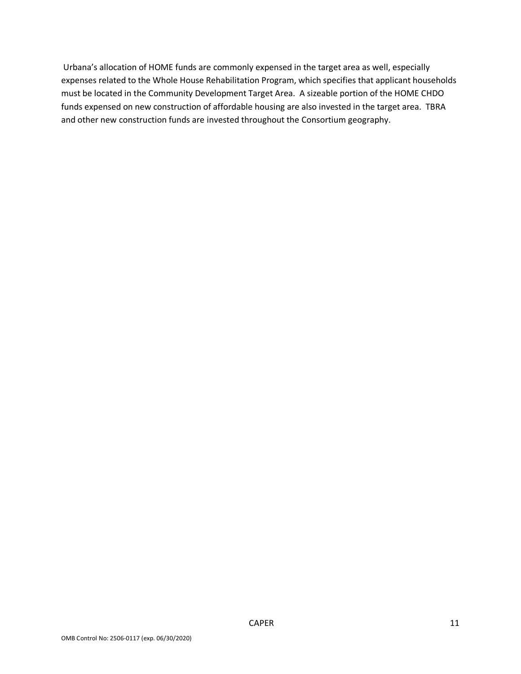Urbana's allocation of HOME funds are commonly expensed in the target area as well, especially expenses related to the Whole House Rehabilitation Program, which specifies that applicant households must be located in the Community Development Target Area. A sizeable portion of the HOME CHDO funds expensed on new construction of affordable housing are also invested in the target area. TBRA and other new construction funds are invested throughout the Consortium geography.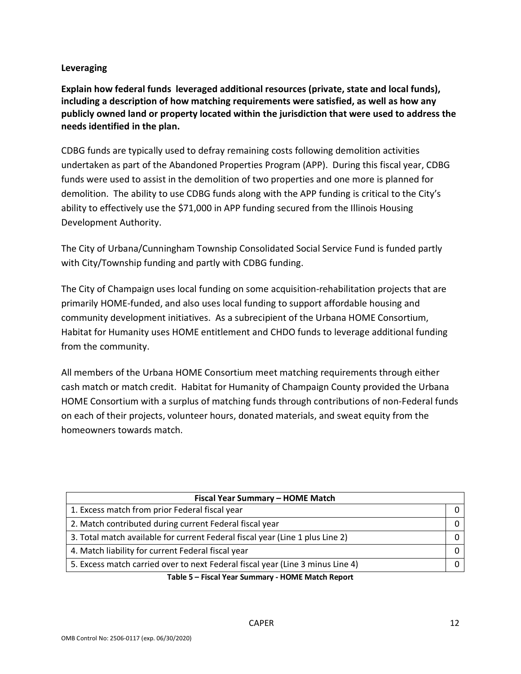## **Leveraging**

**Explain how federal funds leveraged additional resources (private, state and local funds), including a description of how matching requirements were satisfied, as well as how any publicly owned land or property located within the jurisdiction that were used to address the needs identified in the plan.**

CDBG funds are typically used to defray remaining costs following demolition activities undertaken as part of the Abandoned Properties Program (APP). During this fiscal year, CDBG funds were used to assist in the demolition of two properties and one more is planned for demolition. The ability to use CDBG funds along with the APP funding is critical to the City's ability to effectively use the \$71,000 in APP funding secured from the Illinois Housing Development Authority.

The City of Urbana/Cunningham Township Consolidated Social Service Fund is funded partly with City/Township funding and partly with CDBG funding.

The City of Champaign uses local funding on some acquisition-rehabilitation projects that are primarily HOME-funded, and also uses local funding to support affordable housing and community development initiatives. As a subrecipient of the Urbana HOME Consortium, Habitat for Humanity uses HOME entitlement and CHDO funds to leverage additional funding from the community.

All members of the Urbana HOME Consortium meet matching requirements through either cash match or match credit. Habitat for Humanity of Champaign County provided the Urbana HOME Consortium with a surplus of matching funds through contributions of non-Federal funds on each of their projects, volunteer hours, donated materials, and sweat equity from the homeowners towards match.

| Fiscal Year Summary - HOME Match                                               |  |  |  |  |  |  |
|--------------------------------------------------------------------------------|--|--|--|--|--|--|
| 1. Excess match from prior Federal fiscal year                                 |  |  |  |  |  |  |
| 2. Match contributed during current Federal fiscal year                        |  |  |  |  |  |  |
| 3. Total match available for current Federal fiscal year (Line 1 plus Line 2)  |  |  |  |  |  |  |
| 4. Match liability for current Federal fiscal year                             |  |  |  |  |  |  |
| 5. Excess match carried over to next Federal fiscal year (Line 3 minus Line 4) |  |  |  |  |  |  |

**Table 5 – Fiscal Year Summary - HOME Match Report**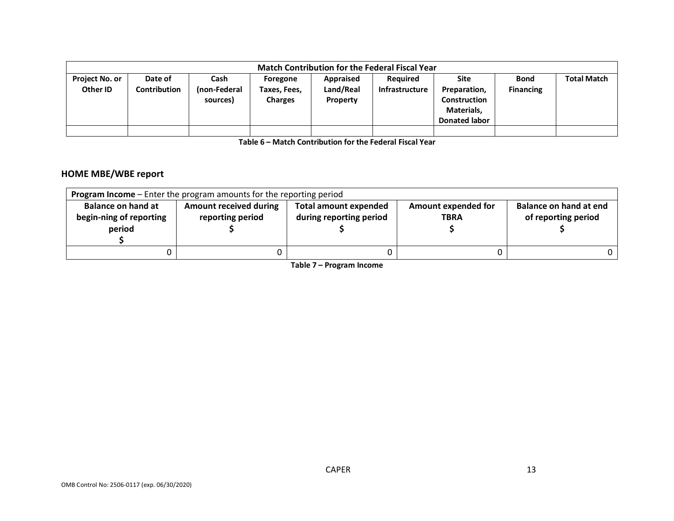|                                   | <b>Match Contribution for the Federal Fiscal Year</b> |                                  |                                            |                                    |                            |                                                                                   |                                 |                    |  |  |  |
|-----------------------------------|-------------------------------------------------------|----------------------------------|--------------------------------------------|------------------------------------|----------------------------|-----------------------------------------------------------------------------------|---------------------------------|--------------------|--|--|--|
| <b>Project No. or</b><br>Other ID | Date of<br>Contribution                               | Cash<br>(non-Federal<br>sources) | Foregone<br>Taxes, Fees,<br><b>Charges</b> | Appraised<br>Land/Real<br>Property | Reguired<br>Infrastructure | <b>Site</b><br>Preparation,<br>Construction<br>Materials,<br><b>Donated labor</b> | <b>Bond</b><br><b>Financing</b> | <b>Total Match</b> |  |  |  |
|                                   |                                                       |                                  |                                            |                                    |                            |                                                                                   |                                 |                    |  |  |  |

**Table 6 – Match Contribution for the Federal Fiscal Year**

## **HOME MBE/WBE report**

| <b>Program Income</b> – Enter the program amounts for the reporting period |                               |                              |                            |                        |  |  |  |  |  |  |
|----------------------------------------------------------------------------|-------------------------------|------------------------------|----------------------------|------------------------|--|--|--|--|--|--|
| <b>Balance on hand at</b>                                                  | <b>Amount received during</b> | <b>Total amount expended</b> | <b>Amount expended for</b> | Balance on hand at end |  |  |  |  |  |  |
| begin-ning of reporting                                                    | reporting period              | during reporting period      | <b>TBRA</b>                | of reporting period    |  |  |  |  |  |  |
| period                                                                     |                               |                              |                            |                        |  |  |  |  |  |  |
|                                                                            |                               |                              |                            |                        |  |  |  |  |  |  |
|                                                                            |                               |                              |                            |                        |  |  |  |  |  |  |

**Table 7 – Program Income**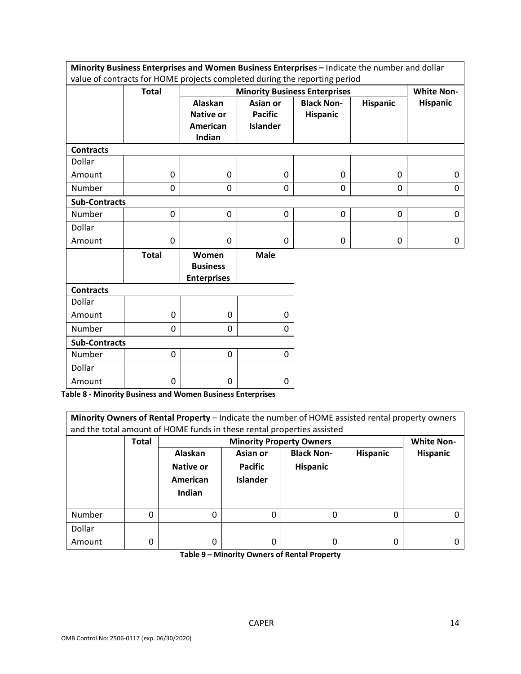|                                                                                                                    |              |                                                |                                   | Minority Business Enterprises and Women Business Enterprises - Indicate the number and dollar |                   |                 |  |
|--------------------------------------------------------------------------------------------------------------------|--------------|------------------------------------------------|-----------------------------------|-----------------------------------------------------------------------------------------------|-------------------|-----------------|--|
| value of contracts for HOME projects completed during the reporting period<br><b>Minority Business Enterprises</b> |              |                                                |                                   |                                                                                               |                   |                 |  |
|                                                                                                                    | <b>Total</b> |                                                |                                   |                                                                                               | <b>White Non-</b> |                 |  |
|                                                                                                                    |              | Alaskan                                        | Asian or                          | <b>Black Non-</b>                                                                             | <b>Hispanic</b>   | <b>Hispanic</b> |  |
|                                                                                                                    |              | <b>Native or</b><br><b>American</b>            | <b>Pacific</b><br><b>Islander</b> | Hispanic                                                                                      |                   |                 |  |
|                                                                                                                    |              | Indian                                         |                                   |                                                                                               |                   |                 |  |
| <b>Contracts</b>                                                                                                   |              |                                                |                                   |                                                                                               |                   |                 |  |
| Dollar                                                                                                             |              |                                                |                                   |                                                                                               |                   |                 |  |
| Amount                                                                                                             | 0            | $\Omega$                                       | $\mathbf{0}$                      | $\mathbf{0}$                                                                                  | 0                 | 0               |  |
| Number                                                                                                             | 0            | 0                                              | $\mathbf{0}$                      | 0                                                                                             | 0                 | 0               |  |
| <b>Sub-Contracts</b>                                                                                               |              |                                                |                                   |                                                                                               |                   |                 |  |
| Number                                                                                                             | 0            | 0                                              | 0                                 | 0                                                                                             | 0                 | 0               |  |
| Dollar                                                                                                             |              |                                                |                                   |                                                                                               |                   |                 |  |
| Amount                                                                                                             | 0            | $\mathbf 0$                                    | 0                                 | 0                                                                                             | 0                 | 0               |  |
|                                                                                                                    | <b>Total</b> | Women<br><b>Business</b><br><b>Enterprises</b> | <b>Male</b>                       |                                                                                               |                   |                 |  |
| <b>Contracts</b>                                                                                                   |              |                                                |                                   |                                                                                               |                   |                 |  |
| Dollar                                                                                                             |              |                                                |                                   |                                                                                               |                   |                 |  |
| Amount                                                                                                             | 0            | 0                                              | $\mathbf{0}$                      |                                                                                               |                   |                 |  |
| Number                                                                                                             | 0            | 0                                              | $\Omega$                          |                                                                                               |                   |                 |  |
| <b>Sub-Contracts</b>                                                                                               |              |                                                |                                   |                                                                                               |                   |                 |  |
| Number                                                                                                             | 0            | 0                                              | 0                                 |                                                                                               |                   |                 |  |
| Dollar                                                                                                             |              |                                                |                                   |                                                                                               |                   |                 |  |
| Amount                                                                                                             | 0            | 0                                              | 0                                 |                                                                                               |                   |                 |  |

**Table 8 - Minority Business and Women Business Enterprises**

| Minority Owners of Rental Property - Indicate the number of HOME assisted rental property owners<br>and the total amount of HOME funds in these rental properties assisted |              |                                                   |                                               |                                      |                 |                 |  |
|----------------------------------------------------------------------------------------------------------------------------------------------------------------------------|--------------|---------------------------------------------------|-----------------------------------------------|--------------------------------------|-----------------|-----------------|--|
|                                                                                                                                                                            | <b>Total</b> |                                                   | <b>Minority Property Owners</b>               |                                      |                 |                 |  |
|                                                                                                                                                                            |              | Alaskan<br><b>Native or</b><br>American<br>Indian | Asian or<br><b>Pacific</b><br><b>Islander</b> | <b>Black Non-</b><br><b>Hispanic</b> | <b>Hispanic</b> | <b>Hispanic</b> |  |
| Number                                                                                                                                                                     | 0            | 0                                                 |                                               | 0                                    | 0               |                 |  |
| Dollar                                                                                                                                                                     |              |                                                   |                                               |                                      |                 |                 |  |
| Amount                                                                                                                                                                     | 0            | 0                                                 | 0                                             | 0                                    | 0               |                 |  |

**Table 9 – Minority Owners of Rental Property**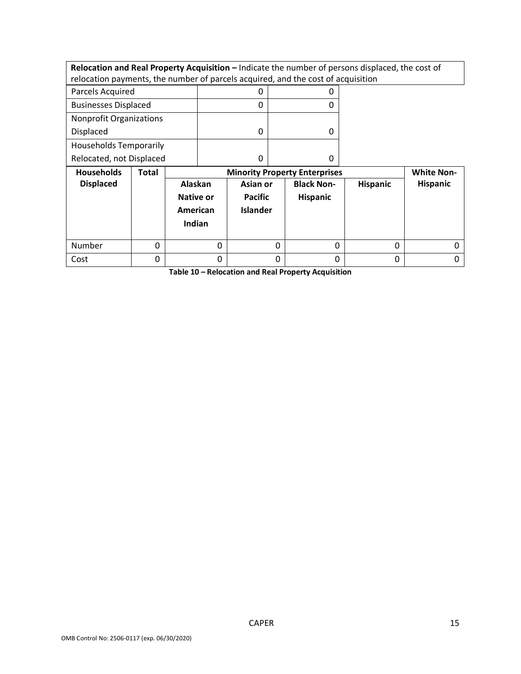|                                                                                  |              |           |          |                 |   |                                      | Relocation and Real Property Acquisition - Indicate the number of persons displaced, the cost of |                   |
|----------------------------------------------------------------------------------|--------------|-----------|----------|-----------------|---|--------------------------------------|--------------------------------------------------------------------------------------------------|-------------------|
| relocation payments, the number of parcels acquired, and the cost of acquisition |              |           |          |                 |   |                                      |                                                                                                  |                   |
| Parcels Acquired                                                                 |              |           |          | 0               |   | 0                                    |                                                                                                  |                   |
| <b>Businesses Displaced</b>                                                      |              | 0         |          | 0               |   |                                      |                                                                                                  |                   |
| <b>Nonprofit Organizations</b>                                                   |              |           |          |                 |   |                                      |                                                                                                  |                   |
| Displaced                                                                        |              |           | 0        |                 | 0 |                                      |                                                                                                  |                   |
| <b>Households Temporarily</b>                                                    |              |           |          |                 |   |                                      |                                                                                                  |                   |
| Relocated, not Displaced                                                         |              |           | 0        |                 | 0 |                                      |                                                                                                  |                   |
|                                                                                  |              |           |          |                 |   |                                      |                                                                                                  |                   |
| <b>Households</b>                                                                | <b>Total</b> |           |          |                 |   | <b>Minority Property Enterprises</b> |                                                                                                  | <b>White Non-</b> |
| <b>Displaced</b>                                                                 |              | Alaskan   |          | Asian or        |   | <b>Black Non-</b>                    | <b>Hispanic</b>                                                                                  | Hispanic          |
|                                                                                  |              | Native or |          | <b>Pacific</b>  |   | <b>Hispanic</b>                      |                                                                                                  |                   |
|                                                                                  |              | American  |          | <b>Islander</b> |   |                                      |                                                                                                  |                   |
|                                                                                  |              | Indian    |          |                 |   |                                      |                                                                                                  |                   |
|                                                                                  |              |           |          |                 |   |                                      |                                                                                                  |                   |
| Number                                                                           | 0            |           | $\Omega$ |                 | 0 | 0                                    | 0                                                                                                | 0                 |

**Table 10 – Relocation and Real Property Acquisition**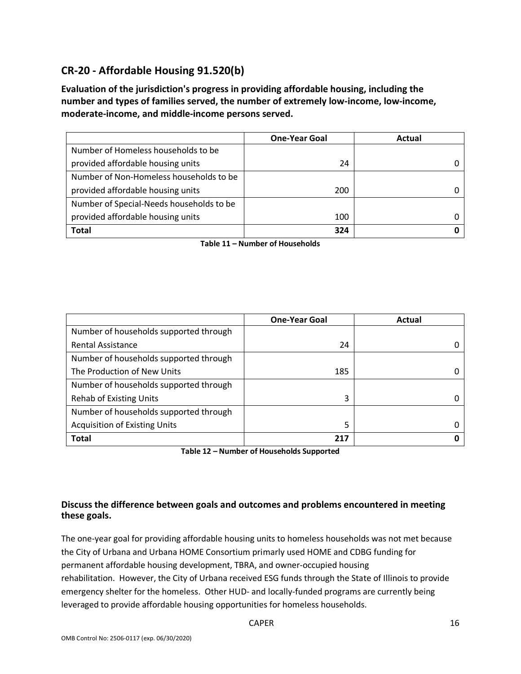# **CR-20 - Affordable Housing 91.520(b)**

**Evaluation of the jurisdiction's progress in providing affordable housing, including the number and types of families served, the number of extremely low-income, low-income, moderate-income, and middle-income persons served.**

|                                          | <b>One-Year Goal</b> | Actual |
|------------------------------------------|----------------------|--------|
| Number of Homeless households to be      |                      |        |
| provided affordable housing units        | 24                   |        |
| Number of Non-Homeless households to be  |                      |        |
| provided affordable housing units        | 200                  |        |
| Number of Special-Needs households to be |                      |        |
| provided affordable housing units        | 100                  |        |
| <b>Total</b>                             | 324                  |        |

**Table 11 – Number of Households**

|                                        | <b>One-Year Goal</b> | Actual |
|----------------------------------------|----------------------|--------|
| Number of households supported through |                      |        |
| <b>Rental Assistance</b>               | 24                   |        |
| Number of households supported through |                      |        |
| The Production of New Units            | 185                  |        |
| Number of households supported through |                      |        |
| <b>Rehab of Existing Units</b>         | 3                    |        |
| Number of households supported through |                      |        |
| <b>Acquisition of Existing Units</b>   | 5                    |        |
| <b>Total</b>                           | 217                  |        |

**Table 12 – Number of Households Supported**

## **Discuss the difference between goals and outcomes and problems encountered in meeting these goals.**

The one-year goal for providing affordable housing units to homeless households was not met because the City of Urbana and Urbana HOME Consortium primarly used HOME and CDBG funding for permanent affordable housing development, TBRA, and owner-occupied housing rehabilitation. However, the City of Urbana received ESG funds through the State of Illinois to provide emergency shelter for the homeless. Other HUD- and locally-funded programs are currently being leveraged to provide affordable housing opportunities for homeless households.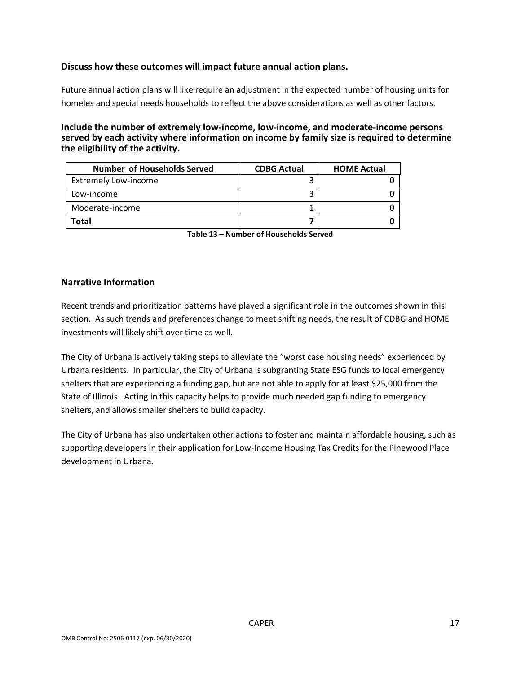#### **Discuss how these outcomes will impact future annual action plans.**

Future annual action plans will like require an adjustment in the expected number of housing units for homeles and special needs households to reflect the above considerations as well as other factors.

**Include the number of extremely low-income, low-income, and moderate-income persons served by each activity where information on income by family size is required to determine the eligibility of the activity.**

| <b>Number of Households Served</b> | <b>CDBG Actual</b> | <b>HOME Actual</b> |
|------------------------------------|--------------------|--------------------|
| <b>Extremely Low-income</b>        |                    |                    |
| Low-income                         |                    |                    |
| Moderate-income                    |                    |                    |
| Total                              |                    |                    |

**Table 13 – Number of Households Served**

#### **Narrative Information**

Recent trends and prioritization patterns have played a significant role in the outcomes shown in this section. As such trends and preferences change to meet shifting needs, the result of CDBG and HOME investments will likely shift over time as well.

The City of Urbana is actively taking steps to alleviate the "worst case housing needs" experienced by Urbana residents. In particular, the City of Urbana is subgranting State ESG funds to local emergency shelters that are experiencing a funding gap, but are not able to apply for at least \$25,000 from the State of Illinois. Acting in this capacity helps to provide much needed gap funding to emergency shelters, and allows smaller shelters to build capacity.

The City of Urbana has also undertaken other actions to foster and maintain affordable housing, such as supporting developers in their application for Low-Income Housing Tax Credits for the Pinewood Place development in Urbana.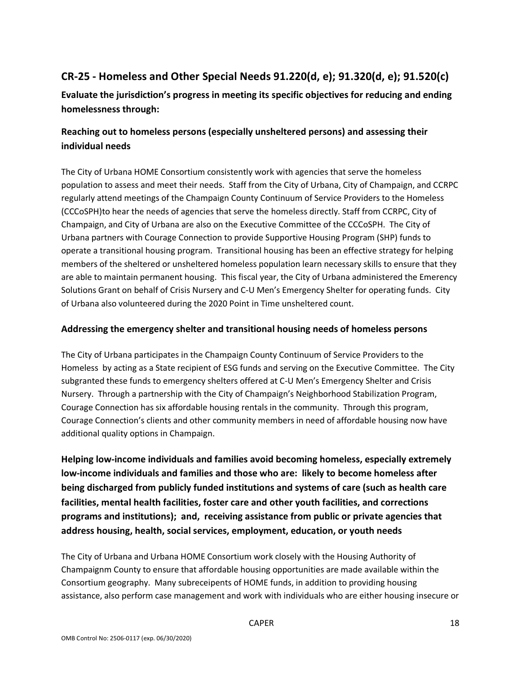# **CR-25 - Homeless and Other Special Needs 91.220(d, e); 91.320(d, e); 91.520(c)**

**Evaluate the jurisdiction's progress in meeting its specific objectives for reducing and ending homelessness through:**

# **Reaching out to homeless persons (especially unsheltered persons) and assessing their individual needs**

The City of Urbana HOME Consortium consistently work with agencies that serve the homeless population to assess and meet their needs. Staff from the City of Urbana, City of Champaign, and CCRPC regularly attend meetings of the Champaign County Continuum of Service Providers to the Homeless (CCCoSPH)to hear the needs of agencies that serve the homeless directly. Staff from CCRPC, City of Champaign, and City of Urbana are also on the Executive Committee of the CCCoSPH. The City of Urbana partners with Courage Connection to provide Supportive Housing Program (SHP) funds to operate a transitional housing program. Transitional housing has been an effective strategy for helping members of the sheltered or unsheltered homeless population learn necessary skills to ensure that they are able to maintain permanent housing. This fiscal year, the City of Urbana administered the Emerency Solutions Grant on behalf of Crisis Nursery and C-U Men's Emergency Shelter for operating funds. City of Urbana also volunteered during the 2020 Point in Time unsheltered count.

## **Addressing the emergency shelter and transitional housing needs of homeless persons**

The City of Urbana participates in the Champaign County Continuum of Service Providers to the Homeless by acting as a State recipient of ESG funds and serving on the Executive Committee. The City subgranted these funds to emergency shelters offered at C-U Men's Emergency Shelter and Crisis Nursery. Through a partnership with the City of Champaign's Neighborhood Stabilization Program, Courage Connection has six affordable housing rentals in the community. Through this program, Courage Connection's clients and other community members in need of affordable housing now have additional quality options in Champaign.

**Helping low-income individuals and families avoid becoming homeless, especially extremely low-income individuals and families and those who are: likely to become homeless after being discharged from publicly funded institutions and systems of care (such as health care facilities, mental health facilities, foster care and other youth facilities, and corrections programs and institutions); and, receiving assistance from public or private agencies that address housing, health, social services, employment, education, or youth needs**

The City of Urbana and Urbana HOME Consortium work closely with the Housing Authority of Champaignm County to ensure that affordable housing opportunities are made available within the Consortium geography. Many subreceipents of HOME funds, in addition to providing housing assistance, also perform case management and work with individuals who are either housing insecure or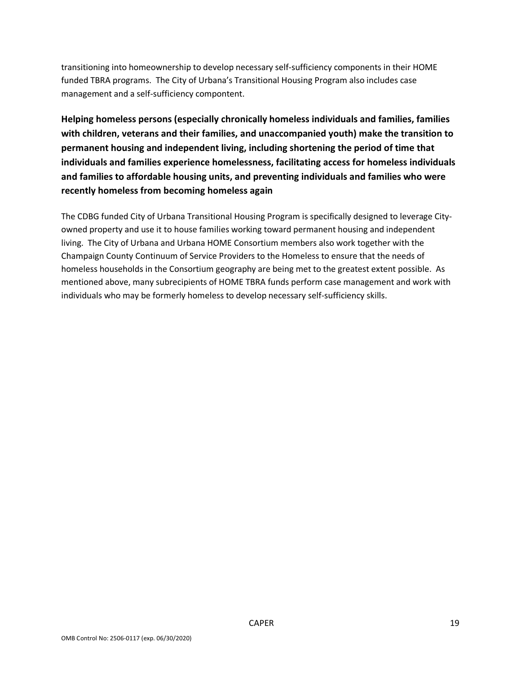transitioning into homeownership to develop necessary self-sufficiency components in their HOME funded TBRA programs. The City of Urbana's Transitional Housing Program also includes case management and a self-sufficiency compontent.

**Helping homeless persons (especially chronically homeless individuals and families, families with children, veterans and their families, and unaccompanied youth) make the transition to permanent housing and independent living, including shortening the period of time that individuals and families experience homelessness, facilitating access for homeless individuals and families to affordable housing units, and preventing individuals and families who were recently homeless from becoming homeless again**

The CDBG funded City of Urbana Transitional Housing Program is specifically designed to leverage Cityowned property and use it to house families working toward permanent housing and independent living. The City of Urbana and Urbana HOME Consortium members also work together with the Champaign County Continuum of Service Providers to the Homeless to ensure that the needs of homeless households in the Consortium geography are being met to the greatest extent possible. As mentioned above, many subrecipients of HOME TBRA funds perform case management and work with individuals who may be formerly homeless to develop necessary self-sufficiency skills.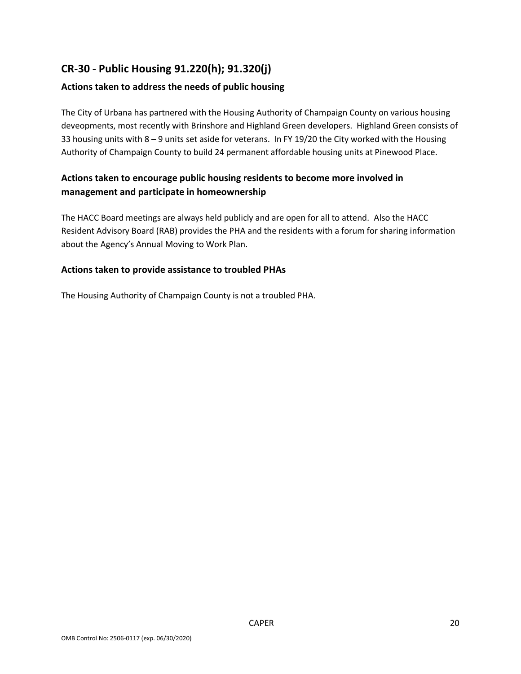# **CR-30 - Public Housing 91.220(h); 91.320(j)**

## **Actions taken to address the needs of public housing**

The City of Urbana has partnered with the Housing Authority of Champaign County on various housing deveopments, most recently with Brinshore and Highland Green developers. Highland Green consists of 33 housing units with 8 – 9 units set aside for veterans. In FY 19/20 the City worked with the Housing Authority of Champaign County to build 24 permanent affordable housing units at Pinewood Place.

## **Actions taken to encourage public housing residents to become more involved in management and participate in homeownership**

The HACC Board meetings are always held publicly and are open for all to attend. Also the HACC Resident Advisory Board (RAB) provides the PHA and the residents with a forum for sharing information about the Agency's Annual Moving to Work Plan.

#### **Actions taken to provide assistance to troubled PHAs**

The Housing Authority of Champaign County is not a troubled PHA.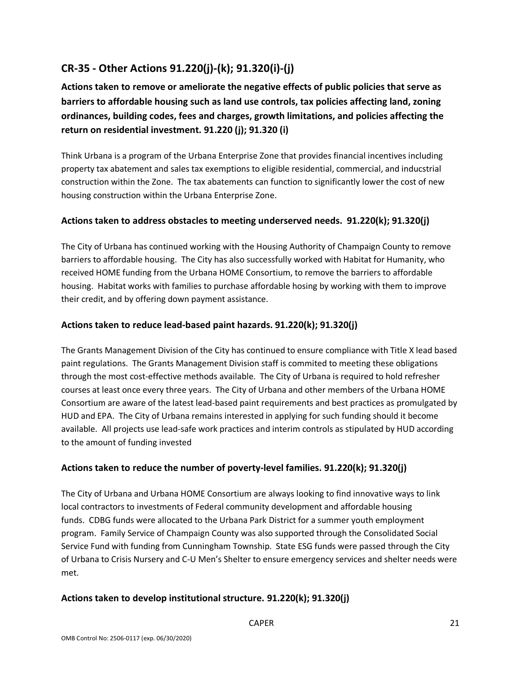# **CR-35 - Other Actions 91.220(j)-(k); 91.320(i)-(j)**

**Actions taken to remove or ameliorate the negative effects of public policies that serve as barriers to affordable housing such as land use controls, tax policies affecting land, zoning ordinances, building codes, fees and charges, growth limitations, and policies affecting the return on residential investment. 91.220 (j); 91.320 (i)**

Think Urbana is a program of the Urbana Enterprise Zone that provides financial incentives including property tax abatement and sales tax exemptions to eligible residential, commercial, and inducstrial construction within the Zone. The tax abatements can function to significantly lower the cost of new housing construction within the Urbana Enterprise Zone.

## **Actions taken to address obstacles to meeting underserved needs. 91.220(k); 91.320(j)**

The City of Urbana has continued working with the Housing Authority of Champaign County to remove barriers to affordable housing. The City has also successfully worked with Habitat for Humanity, who received HOME funding from the Urbana HOME Consortium, to remove the barriers to affordable housing. Habitat works with families to purchase affordable hosing by working with them to improve their credit, and by offering down payment assistance.

## **Actions taken to reduce lead-based paint hazards. 91.220(k); 91.320(j)**

The Grants Management Division of the City has continued to ensure compliance with Title X lead based paint regulations. The Grants Management Division staff is commited to meeting these obligations through the most cost-effective methods available. The City of Urbana is required to hold refresher courses at least once every three years. The City of Urbana and other members of the Urbana HOME Consortium are aware of the latest lead-based paint requirements and best practices as promulgated by HUD and EPA. The City of Urbana remains interested in applying for such funding should it become available. All projects use lead-safe work practices and interim controls as stipulated by HUD according to the amount of funding invested

## **Actions taken to reduce the number of poverty-level families. 91.220(k); 91.320(j)**

The City of Urbana and Urbana HOME Consortium are always looking to find innovative ways to link local contractors to investments of Federal community development and affordable housing funds. CDBG funds were allocated to the Urbana Park District for a summer youth employment program. Family Service of Champaign County was also supported through the Consolidated Social Service Fund with funding from Cunningham Township. State ESG funds were passed through the City of Urbana to Crisis Nursery and C-U Men's Shelter to ensure emergency services and shelter needs were met.

#### **Actions taken to develop institutional structure. 91.220(k); 91.320(j)**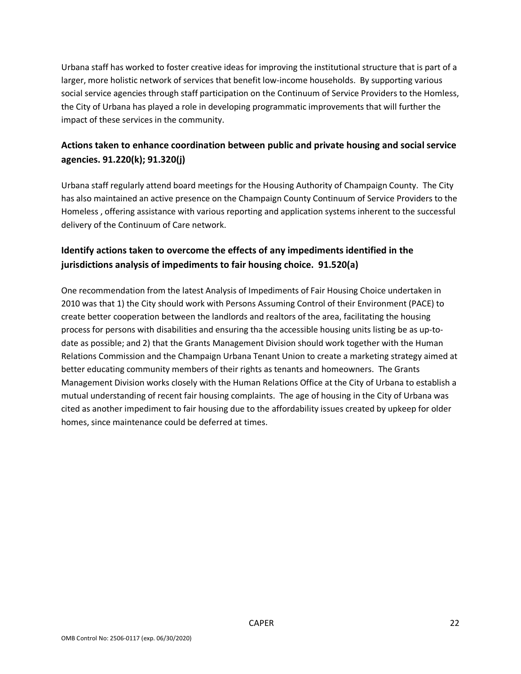Urbana staff has worked to foster creative ideas for improving the institutional structure that is part of a larger, more holistic network of services that benefit low-income households. By supporting various social service agencies through staff participation on the Continuum of Service Providers to the Homless, the City of Urbana has played a role in developing programmatic improvements that will further the impact of these services in the community.

## **Actions taken to enhance coordination between public and private housing and social service agencies. 91.220(k); 91.320(j)**

Urbana staff regularly attend board meetings for the Housing Authority of Champaign County. The City has also maintained an active presence on the Champaign County Continuum of Service Providers to the Homeless , offering assistance with various reporting and application systems inherent to the successful delivery of the Continuum of Care network.

# **Identify actions taken to overcome the effects of any impediments identified in the jurisdictions analysis of impediments to fair housing choice. 91.520(a)**

One recommendation from the latest Analysis of Impediments of Fair Housing Choice undertaken in 2010 was that 1) the City should work with Persons Assuming Control of their Environment (PACE) to create better cooperation between the landlords and realtors of the area, facilitating the housing process for persons with disabilities and ensuring tha the accessible housing units listing be as up-todate as possible; and 2) that the Grants Management Division should work together with the Human Relations Commission and the Champaign Urbana Tenant Union to create a marketing strategy aimed at better educating community members of their rights as tenants and homeowners. The Grants Management Division works closely with the Human Relations Office at the City of Urbana to establish a mutual understanding of recent fair housing complaints. The age of housing in the City of Urbana was cited as another impediment to fair housing due to the affordability issues created by upkeep for older homes, since maintenance could be deferred at times.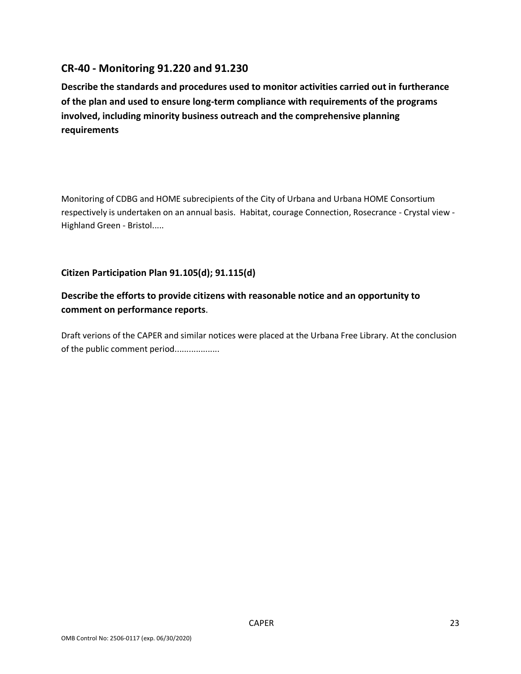# **CR-40 - Monitoring 91.220 and 91.230**

**Describe the standards and procedures used to monitor activities carried out in furtherance of the plan and used to ensure long-term compliance with requirements of the programs involved, including minority business outreach and the comprehensive planning requirements**

Monitoring of CDBG and HOME subrecipients of the City of Urbana and Urbana HOME Consortium respectively is undertaken on an annual basis. Habitat, courage Connection, Rosecrance - Crystal view - Highland Green - Bristol.....

## **Citizen Participation Plan 91.105(d); 91.115(d)**

## **Describe the efforts to provide citizens with reasonable notice and an opportunity to comment on performance reports**.

Draft verions of the CAPER and similar notices were placed at the Urbana Free Library. At the conclusion of the public comment period...................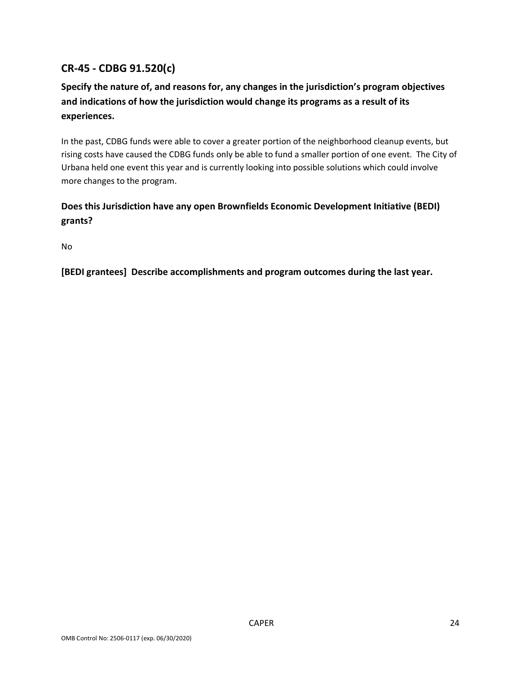# **CR-45 - CDBG 91.520(c)**

# **Specify the nature of, and reasons for, any changes in the jurisdiction's program objectives and indications of how the jurisdiction would change its programs as a result of its experiences.**

In the past, CDBG funds were able to cover a greater portion of the neighborhood cleanup events, but rising costs have caused the CDBG funds only be able to fund a smaller portion of one event. The City of Urbana held one event this year and is currently looking into possible solutions which could involve more changes to the program.

# **Does this Jurisdiction have any open Brownfields Economic Development Initiative (BEDI) grants?**

No

**[BEDI grantees] Describe accomplishments and program outcomes during the last year.**